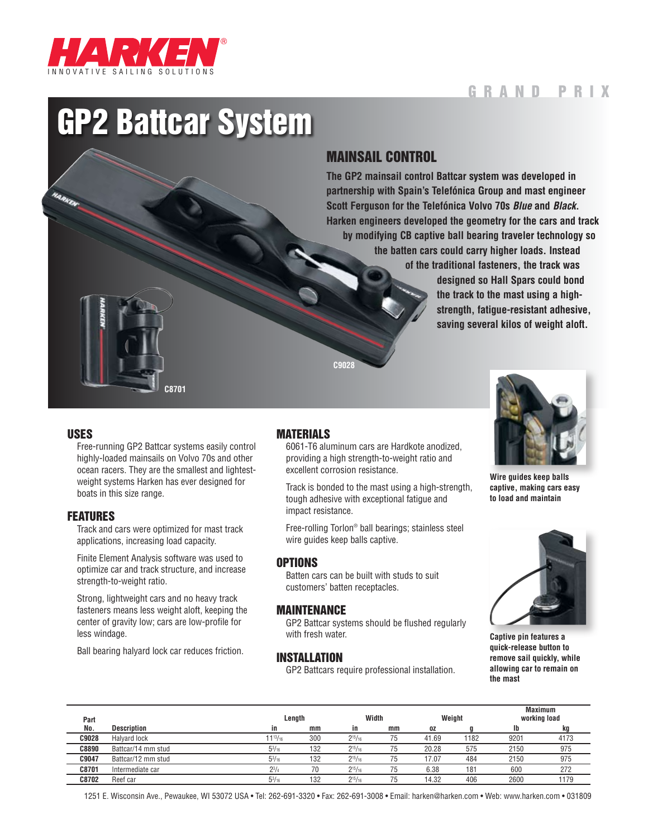

# G ran d P ri x

# GP2 Battcar System

## MAINSAIL CONTROL

**The GP2 mainsail control Battcar system was developed in partnership with Spain's Telefónica Group and mast engineer Scott Ferguson for the Telefónica Volvo 70s** *Blue* **and** *Black***. Harken engineers developed the geometry for the cars and track by modifying CB captive ball bearing traveler technology so the batten cars could carry higher loads. Instead of the traditional fasteners, the track was designed so Hall Spars could bond the track to the mast using a highstrength, fatigue-resistant adhesive, saving several kilos of weight aloft.**



#### USES

Free-running GP2 Battcar systems easily control highly-loaded mainsails on Volvo 70s and other ocean racers. They are the smallest and lightestweight systems Harken has ever designed for boats in this size range.

#### FEATURES

Track and cars were optimized for mast track applications, increasing load capacity.

Finite Element Analysis software was used to optimize car and track structure, and increase strength-to-weight ratio.

Strong, lightweight cars and no heavy track fasteners means less weight aloft, keeping the center of gravity low; cars are low-profile for less windage.

Ball bearing halyard lock car reduces friction.

## MATERIALS

6061-T6 aluminum cars are Hardkote anodized, providing a high strength-to-weight ratio and excellent corrosion resistance.

**C9028**

Track is bonded to the mast using a high-strength, tough adhesive with exceptional fatigue and impact resistance.

Free-rolling Torlon® ball bearings; stainless steel wire guides keep balls captive.

## **OPTIONS**

Batten cars can be built with studs to suit customers' batten receptacles.

#### MAINTENANCE

GP2 Battcar systems should be flushed regularly with fresh water.

#### INSTALLATION

GP2 Battcars require professional installation.



**Wire guides keep balls captive, making cars easy to load and maintain**



**Captive pin features a quick-release button to remove sail quickly, while allowing car to remain on the mast**

| Part         |                    |                 | Length |                | Width |       | Weight |      | <b>Maximum</b><br>working load |  |
|--------------|--------------------|-----------------|--------|----------------|-------|-------|--------|------|--------------------------------|--|
| No.          | <b>Description</b> | in              | mm     | in             | mm    | 0Z    |        | Ib   | kg                             |  |
| C9028        | Halyard lock       | $11^{13}/_{16}$ | 300    | $2^{15}/_{16}$ | 75    | 41.69 | 1182   | 9201 | 4173                           |  |
| <b>C8890</b> | Battcar/14 mm stud | $5^{3}/_{16}$   | 132    | $2^{15}/_{16}$ | 75    | 20.28 | 575    | 2150 | 975                            |  |
| C9047        | Battcar/12 mm stud | $5^{3}/_{16}$   | 132    | $2^{15}/_{16}$ | 75    | 17.07 | 484    | 2150 | 975                            |  |
| C8701        | Intermediate car   | $2^{3}/4$       | 70     | $2^{15}/_{16}$ | 75    | 6.38  | 181    | 600  | 272                            |  |
| C8702        | Reef car           | $5^{3}/_{16}$   | 132    | $2^{15}/_{16}$ | 75    | 14.32 | 406    | 2600 | 1179                           |  |

1251 E. Wisconsin Ave., Pewaukee, WI 53072 USA • Tel: 262-691-3320 • Fax: 262-691-3008 • Email: harken@harken.com • Web: www.harken.com • 031809